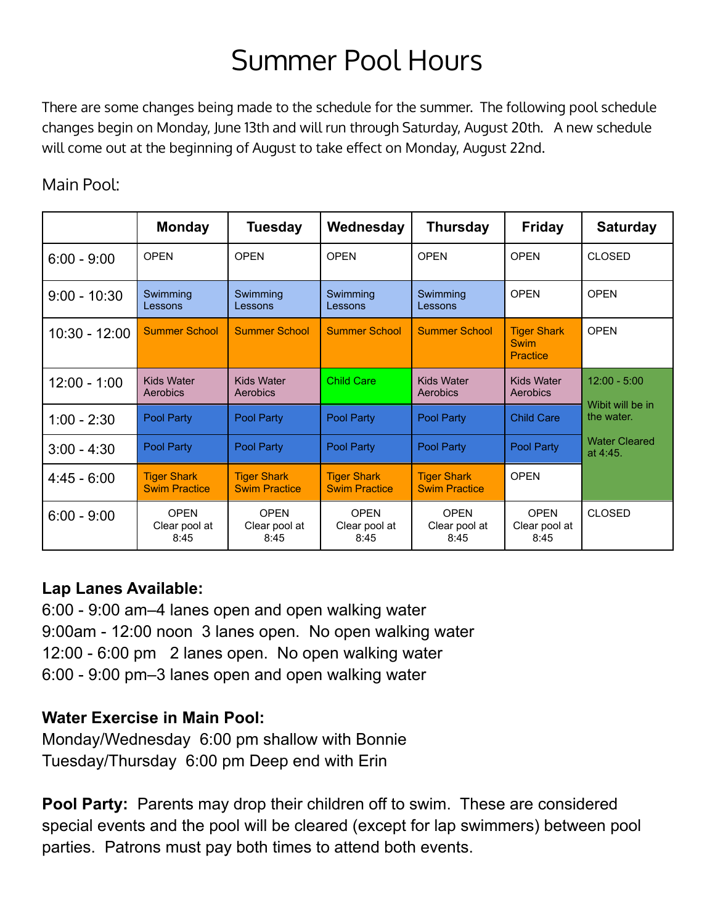# Summer Pool Hours

There are some changes being made to the schedule for the summer. The following pool schedule changes begin on Monday, June 13th and will run through Saturday, August 20th. A new schedule will come out at the beginning of August to take effect on Monday, August 22nd.

#### Main Pool:

|                 | <b>Monday</b>                              | <b>Tuesday</b>                             | Wednesday                                  | <b>Thursday</b>                            | <b>Friday</b>                                        | <b>Saturday</b>                    |
|-----------------|--------------------------------------------|--------------------------------------------|--------------------------------------------|--------------------------------------------|------------------------------------------------------|------------------------------------|
| $6:00 - 9:00$   | <b>OPEN</b>                                | <b>OPEN</b>                                | <b>OPEN</b>                                | <b>OPEN</b>                                | <b>OPEN</b>                                          | <b>CLOSED</b>                      |
| $9:00 - 10:30$  | Swimming<br>Lessons                        | Swimming<br>Lessons                        | Swimming<br>Lessons                        | Swimming<br>Lessons                        | <b>OPEN</b>                                          | <b>OPEN</b>                        |
| $10:30 - 12:00$ | <b>Summer School</b>                       | <b>Summer School</b>                       | <b>Summer School</b>                       | <b>Summer School</b>                       | <b>Tiger Shark</b><br><b>Swim</b><br><b>Practice</b> | <b>OPEN</b>                        |
| $12:00 - 1:00$  | <b>Kids Water</b><br>Aerobics              | <b>Kids Water</b><br>Aerobics              | <b>Child Care</b>                          | <b>Kids Water</b><br>Aerobics              | <b>Kids Water</b><br>Aerobics                        | $12:00 - 5:00$<br>Wibit will be in |
| $1:00 - 2:30$   | <b>Pool Party</b>                          | Pool Party                                 | Pool Party                                 | Pool Party                                 | <b>Child Care</b>                                    | the water.                         |
| $3:00 - 4:30$   | Pool Party                                 | Pool Party                                 | Pool Party                                 | Pool Party                                 | Pool Party                                           | <b>Water Cleared</b><br>at 4:45.   |
| $4.45 - 6.00$   | <b>Tiger Shark</b><br><b>Swim Practice</b> | <b>Tiger Shark</b><br><b>Swim Practice</b> | <b>Tiger Shark</b><br><b>Swim Practice</b> | <b>Tiger Shark</b><br><b>Swim Practice</b> | <b>OPEN</b>                                          |                                    |
| $6:00 - 9:00$   | <b>OPEN</b><br>Clear pool at<br>8:45       | OPFN<br>Clear pool at<br>8:45              | OPFN<br>Clear pool at<br>8:45              | <b>OPEN</b><br>Clear pool at<br>8:45       | <b>OPEN</b><br>Clear pool at<br>8:45                 | <b>CLOSED</b>                      |

#### **Lap Lanes Available:**

6:00 - 9:00 am–4 lanes open and open walking water 9:00am - 12:00 noon 3 lanes open. No open walking water 12:00 - 6:00 pm 2 lanes open. No open walking water 6:00 - 9:00 pm–3 lanes open and open walking water

#### **Water Exercise in Main Pool:**

Monday/Wednesday 6:00 pm shallow with Bonnie Tuesday/Thursday 6:00 pm Deep end with Erin

**Pool Party:** Parents may drop their children off to swim. These are considered special events and the pool will be cleared (except for lap swimmers) between pool parties. Patrons must pay both times to attend both events.